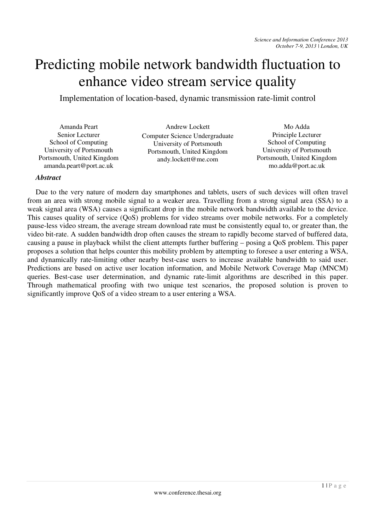## Predicting mobile network bandwidth fluctuation to enhance video stream service quality

Implementation of location-based, dynamic transmission rate-limit control

Amanda Peart Senior Lecturer School of Computing University of Portsmouth Portsmouth, United Kingdom amanda.peart@port.ac.uk

Andrew Lockett Computer Science Undergraduate University of Portsmouth Portsmouth, United Kingdom andy.lockett@me.com

Mo Adda Principle Lecturer School of Computing University of Portsmouth Portsmouth, United Kingdom mo.adda@port.ac.uk

## *Abstract*

Due to the very nature of modern day smartphones and tablets, users of such devices will often travel from an area with strong mobile signal to a weaker area. Travelling from a strong signal area (SSA) to a weak signal area (WSA) causes a significant drop in the mobile network bandwidth available to the device. This causes quality of service (QoS) problems for video streams over mobile networks. For a completely pause-less video stream, the average stream download rate must be consistently equal to, or greater than, the video bit-rate. A sudden bandwidth drop often causes the stream to rapidly become starved of buffered data, causing a pause in playback whilst the client attempts further buffering – posing a QoS problem. This paper proposes a solution that helps counter this mobility problem by attempting to foresee a user entering a WSA, and dynamically rate-limiting other nearby best-case users to increase available bandwidth to said user. Predictions are based on active user location information, and Mobile Network Coverage Map (MNCM) queries. Best-case user determination, and dynamic rate-limit algorithms are described in this paper. Through mathematical proofing with two unique test scenarios, the proposed solution is proven to significantly improve QoS of a video stream to a user entering a WSA.